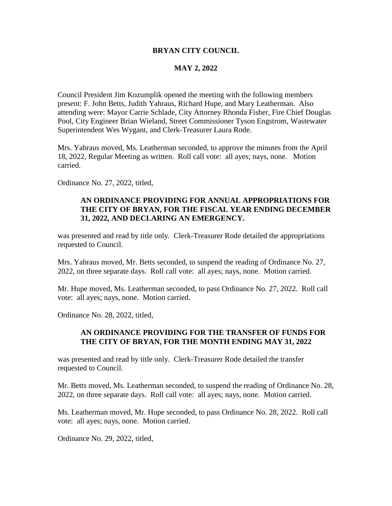### **BRYAN CITY COUNCIL**

### **MAY 2, 2022**

Council President Jim Kozumplik opened the meeting with the following members present: F. John Betts, Judith Yahraus, Richard Hupe, and Mary Leatherman. Also attending were: Mayor Carrie Schlade, City Attorney Rhonda Fisher, Fire Chief Douglas Pool, City Engineer Brian Wieland, Street Commissioner Tyson Engstrom, Wastewater Superintendent Wes Wygant, and Clerk-Treasurer Laura Rode.

Mrs. Yahraus moved, Ms. Leatherman seconded, to approve the minutes from the April 18, 2022, Regular Meeting as written. Roll call vote: all ayes; nays, none. Motion carried.

Ordinance No. 27, 2022, titled,

## **AN ORDINANCE PROVIDING FOR ANNUAL APPROPRIATIONS FOR THE CITY OF BRYAN, FOR THE FISCAL YEAR ENDING DECEMBER 31, 2022, AND DECLARING AN EMERGENCY.**

was presented and read by title only. Clerk-Treasurer Rode detailed the appropriations requested to Council.

Mrs. Yahraus moved, Mr. Betts seconded, to suspend the reading of Ordinance No. 27, 2022, on three separate days. Roll call vote: all ayes; nays, none. Motion carried.

Mr. Hupe moved, Ms. Leatherman seconded, to pass Ordinance No. 27, 2022. Roll call vote: all ayes; nays, none. Motion carried.

Ordinance No. 28, 2022, titled,

### **AN ORDINANCE PROVIDING FOR THE TRANSFER OF FUNDS FOR THE CITY OF BRYAN, FOR THE MONTH ENDING MAY 31, 2022**

was presented and read by title only. Clerk-Treasurer Rode detailed the transfer requested to Council.

Mr. Betts moved, Ms. Leatherman seconded, to suspend the reading of Ordinance No. 28, 2022, on three separate days. Roll call vote: all ayes; nays, none. Motion carried.

Ms. Leatherman moved, Mr. Hupe seconded, to pass Ordinance No. 28, 2022. Roll call vote: all ayes; nays, none. Motion carried.

Ordinance No. 29, 2022, titled,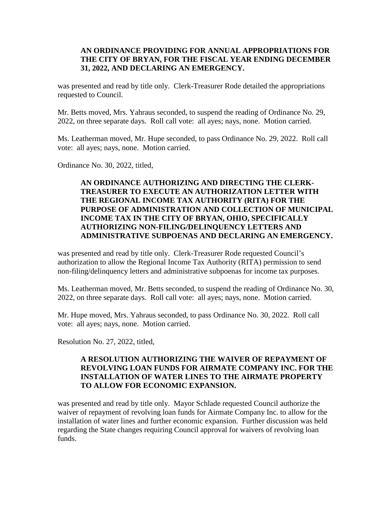## **AN ORDINANCE PROVIDING FOR ANNUAL APPROPRIATIONS FOR THE CITY OF BRYAN, FOR THE FISCAL YEAR ENDING DECEMBER 31, 2022, AND DECLARING AN EMERGENCY.**

was presented and read by title only. Clerk-Treasurer Rode detailed the appropriations requested to Council.

Mr. Betts moved, Mrs. Yahraus seconded, to suspend the reading of Ordinance No. 29, 2022, on three separate days. Roll call vote: all ayes; nays, none. Motion carried.

Ms. Leatherman moved, Mr. Hupe seconded, to pass Ordinance No. 29, 2022. Roll call vote: all ayes; nays, none. Motion carried.

Ordinance No. 30, 2022, titled,

# **AN ORDINANCE AUTHORIZING AND DIRECTING THE CLERK-TREASURER TO EXECUTE AN AUTHORIZATION LETTER WITH THE REGIONAL INCOME TAX AUTHORITY (RITA) FOR THE PURPOSE OF ADMINISTRATION AND COLLECTION OF MUNICIPAL INCOME TAX IN THE CITY OF BRYAN, OHIO, SPECIFICALLY AUTHORIZING NON-FILING/DELINQUENCY LETTERS AND ADMINISTRATIVE SUBPOENAS AND DECLARING AN EMERGENCY.**

was presented and read by title only. Clerk-Treasurer Rode requested Council's authorization to allow the Regional Income Tax Authority (RITA) permission to send non-filing/delinquency letters and administrative subpoenas for income tax purposes.

Ms. Leatherman moved, Mr. Betts seconded, to suspend the reading of Ordinance No. 30, 2022, on three separate days. Roll call vote: all ayes; nays, none. Motion carried.

Mr. Hupe moved, Mrs. Yahraus seconded, to pass Ordinance No. 30, 2022. Roll call vote: all ayes; nays, none. Motion carried.

Resolution No. 27, 2022, titled,

## **A RESOLUTION AUTHORIZING THE WAIVER OF REPAYMENT OF REVOLVING LOAN FUNDS FOR AIRMATE COMPANY INC. FOR THE INSTALLATION OF WATER LINES TO THE AIRMATE PROPERTY TO ALLOW FOR ECONOMIC EXPANSION.**

was presented and read by title only. Mayor Schlade requested Council authorize the waiver of repayment of revolving loan funds for Airmate Company Inc. to allow for the installation of water lines and further economic expansion. Further discussion was held regarding the State changes requiring Council approval for waivers of revolving loan funds.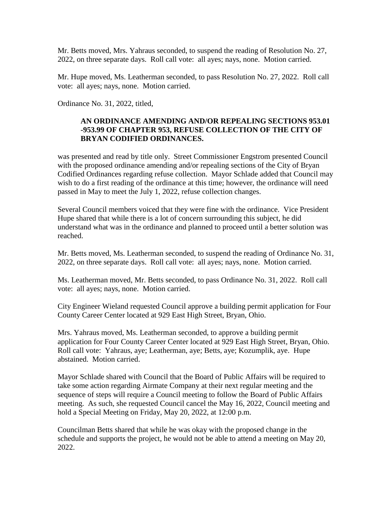Mr. Betts moved, Mrs. Yahraus seconded, to suspend the reading of Resolution No. 27, 2022, on three separate days. Roll call vote: all ayes; nays, none. Motion carried.

Mr. Hupe moved, Ms. Leatherman seconded, to pass Resolution No. 27, 2022. Roll call vote: all ayes; nays, none. Motion carried.

Ordinance No. 31, 2022, titled,

# **AN ORDINANCE AMENDING AND/OR REPEALING SECTIONS 953.01 -953.99 OF CHAPTER 953, REFUSE COLLECTION OF THE CITY OF BRYAN CODIFIED ORDINANCES.**

was presented and read by title only. Street Commissioner Engstrom presented Council with the proposed ordinance amending and/or repealing sections of the City of Bryan Codified Ordinances regarding refuse collection. Mayor Schlade added that Council may wish to do a first reading of the ordinance at this time; however, the ordinance will need passed in May to meet the July 1, 2022, refuse collection changes.

Several Council members voiced that they were fine with the ordinance. Vice President Hupe shared that while there is a lot of concern surrounding this subject, he did understand what was in the ordinance and planned to proceed until a better solution was reached.

Mr. Betts moved, Ms. Leatherman seconded, to suspend the reading of Ordinance No. 31, 2022, on three separate days. Roll call vote: all ayes; nays, none. Motion carried.

Ms. Leatherman moved, Mr. Betts seconded, to pass Ordinance No. 31, 2022. Roll call vote: all ayes; nays, none. Motion carried.

City Engineer Wieland requested Council approve a building permit application for Four County Career Center located at 929 East High Street, Bryan, Ohio.

Mrs. Yahraus moved, Ms. Leatherman seconded, to approve a building permit application for Four County Career Center located at 929 East High Street, Bryan, Ohio. Roll call vote: Yahraus, aye; Leatherman, aye; Betts, aye; Kozumplik, aye. Hupe abstained. Motion carried.

Mayor Schlade shared with Council that the Board of Public Affairs will be required to take some action regarding Airmate Company at their next regular meeting and the sequence of steps will require a Council meeting to follow the Board of Public Affairs meeting. As such, she requested Council cancel the May 16, 2022, Council meeting and hold a Special Meeting on Friday, May 20, 2022, at 12:00 p.m.

Councilman Betts shared that while he was okay with the proposed change in the schedule and supports the project, he would not be able to attend a meeting on May 20, 2022.